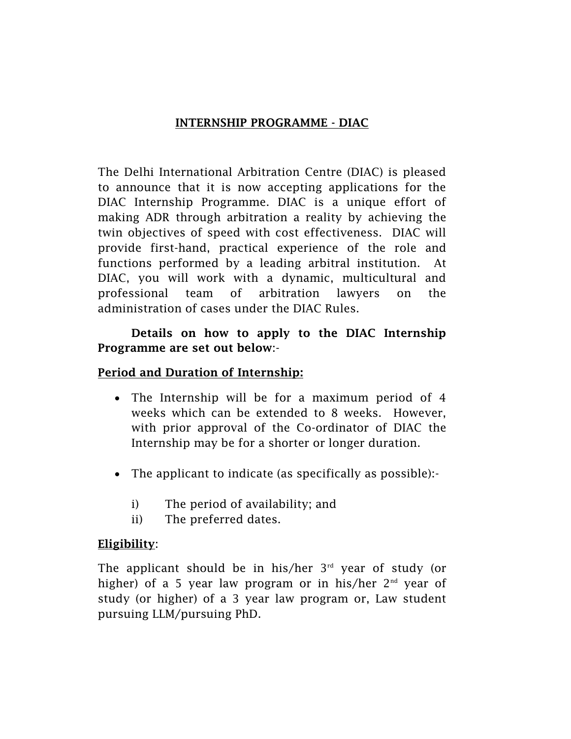### INTERNSHIP PROGRAMME - DIAC

The Delhi International Arbitration Centre (DIAC) is pleased to announce that it is now accepting applications for the DIAC Internship Programme. DIAC is a unique effort of making ADR through arbitration a reality by achieving the twin objectives of speed with cost effectiveness. DIAC will provide first-hand, practical experience of the role and functions performed by a leading arbitral institution. At DIAC, you will work with a dynamic, multicultural and professional team of arbitration lawyers on the administration of cases under the DIAC Rules.

#### Details on how to apply to the DIAC Internship Programme are set out below:-

#### Period and Duration of Internship:

- The Internship will be for a maximum period of 4 weeks which can be extended to 8 weeks. However, with prior approval of the Co-ordinator of DIAC the Internship may be for a shorter or longer duration.
- The applicant to indicate (as specifically as possible):
	- i) The period of availability; and
	- ii) The preferred dates.

#### Eligibility:

The applicant should be in his/her  $3<sup>rd</sup>$  year of study (or higher) of a 5 year law program or in his/her  $2<sup>nd</sup>$  year of study (or higher) of a 3 year law program or, Law student pursuing LLM/pursuing PhD.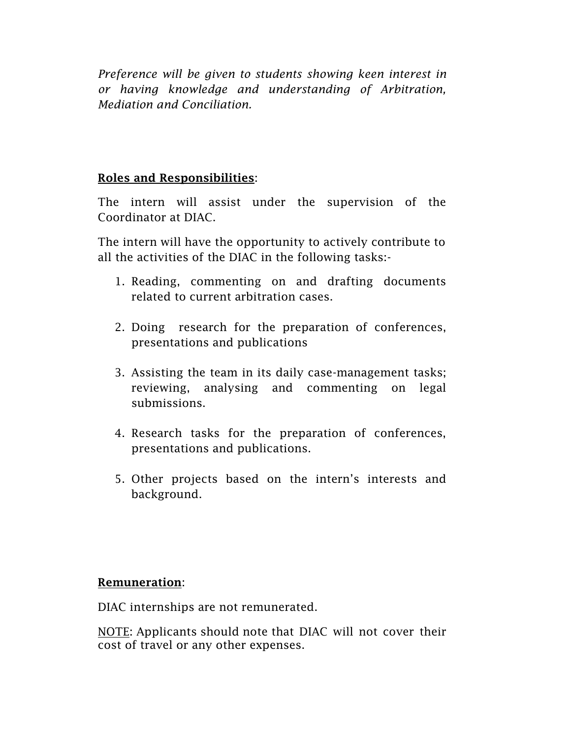*Preference will be given to students showing keen interest in or having knowledge and understanding of Arbitration, Mediation and Conciliation.*

#### Roles and Responsibilities:

The intern will assist under the supervision of the Coordinator at DIAC.

The intern will have the opportunity to actively contribute to all the activities of the DIAC in the following tasks:-

- 1. Reading, commenting on and drafting documents related to current arbitration cases.
- 2. Doing research for the preparation of conferences, presentations and publications
- 3. Assisting the team in its daily case-management tasks; reviewing, analysing and commenting on legal submissions.
- 4. Research tasks for the preparation of conferences, presentations and publications.
- 5. Other projects based on the intern's interests and background.

#### Remuneration:

DIAC internships are not remunerated.

NOTE: Applicants should note that DIAC will not cover their cost of travel or any other expenses.